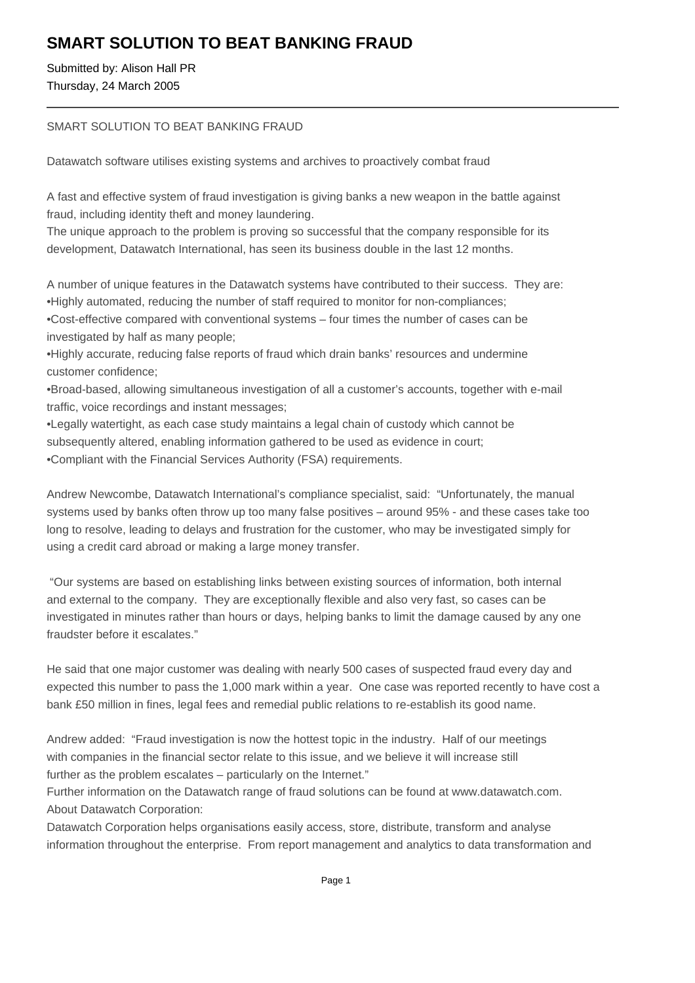## **SMART SOLUTION TO BEAT BANKING FRAUD**

Submitted by: Alison Hall PR Thursday, 24 March 2005

## SMART SOLUTION TO BEAT BANKING FRAUD

Datawatch software utilises existing systems and archives to proactively combat fraud

A fast and effective system of fraud investigation is giving banks a new weapon in the battle against fraud, including identity theft and money laundering.

The unique approach to the problem is proving so successful that the company responsible for its development, Datawatch International, has seen its business double in the last 12 months.

A number of unique features in the Datawatch systems have contributed to their success. They are:

- Highly automated, reducing the number of staff required to monitor for non-compliances;
- • Cost-effective compared with conventional systems four times the number of cases can be investigated by half as many people;

• Highly accurate, reducing false reports of fraud which drain banks' resources and undermine customer confidence;

- • Broad-based, allowing simultaneous investigation of all a customer's accounts, together with e-mail traffic, voice recordings and instant messages;
- • Legally watertight, as each case study maintains a legal chain of custody which cannot be subsequently altered, enabling information gathered to be used as evidence in court:
- Compliant with the Financial Services Authority (FSA) requirements.

Andrew Newcombe, Datawatch International's compliance specialist, said: "Unfortunately, the manual systems used by banks often throw up too many false positives – around 95% - and these cases take too long to resolve, leading to delays and frustration for the customer, who may be investigated simply for using a credit card abroad or making a large money transfer.

 "Our systems are based on establishing links between existing sources of information, both internal and external to the company. They are exceptionally flexible and also very fast, so cases can be investigated in minutes rather than hours or days, helping banks to limit the damage caused by any one fraudster before it escalates."

He said that one major customer was dealing with nearly 500 cases of suspected fraud every day and expected this number to pass the 1,000 mark within a year. One case was reported recently to have cost a bank £50 million in fines, legal fees and remedial public relations to re-establish its good name.

Andrew added: "Fraud investigation is now the hottest topic in the industry. Half of our meetings with companies in the financial sector relate to this issue, and we believe it will increase still further as the problem escalates – particularly on the Internet."

Further information on the Datawatch range of fraud solutions can be found at www.datawatch.com. About Datawatch Corporation:

Datawatch Corporation helps organisations easily access, store, distribute, transform and analyse information throughout the enterprise. From report management and analytics to data transformation and